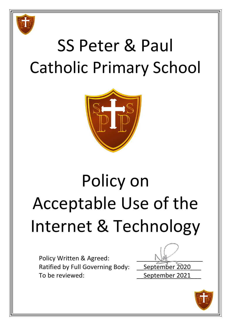

## SS Peter & Paul Catholic Primary School



# Policy on Acceptable Use of the Internet & Technology

Policy Written & Agreed: Ratified by Full Governing Body: September 2020 To be reviewed: To be reviewed:

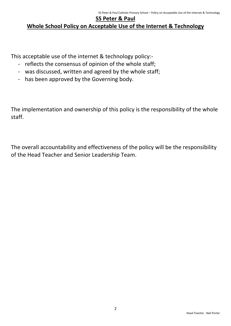#### **SS Peter & Paul**

#### **Whole School Policy on Acceptable Use of the Internet & Technology**

This acceptable use of the internet & technology policy:-

- reflects the consensus of opinion of the whole staff;
- was discussed, written and agreed by the whole staff;
- has been approved by the Governing body.

The implementation and ownership of this policy is the responsibility of the whole staff.

The overall accountability and effectiveness of the policy will be the responsibility of the Head Teacher and Senior Leadership Team.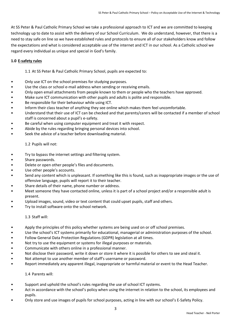At SS Peter & Paul Catholic Primary School we take a professional approach to ICT and we are committed to keeping technology up to date to assist with the delivery of our School Curriculum. We do understand, however, that there is a need to stay safe on line so we have established rules and protocols to ensure all of our stakeholders know and follow the expectations and what is considered acceptable use of the internet and ICT in our school. As a Catholic school we regard every individual as unique and special in God's family.

#### **1.0 E-safety rules**

1.1 At SS Peter & Paul Catholic Primary School, pupils are expected to:

- Only use ICT on the school premises for studying purposes.
- Use the class or school e-mail address when sending or receiving emails.
- Only open email attachments from people known to them or people who the teachers have approved.
- Make sure ICT communication with other pupils and adults is polite and responsible.
- Be responsible for their behaviour while using ICT.
- Inform their class teacher of anything they see online which makes them feel uncomfortable.
- Understand that their use of ICT can be checked and that parents/carers will be contacted if a member of school staff is concerned about a pupil's e-safety.
- Be careful when using computer equipment and treat it with respect.
- Abide by the rules regarding bringing personal devices into school.
- Seek the advice of a teacher before downloading material.

#### 1.2 Pupils will not:

- Try to bypass the internet settings and filtering system.
- Share passwords.
- Delete or open other people's files and documents.
- Use other people's accounts.
- Send any content which is unpleasant. If something like this is found, such as inappropriate images or the use of offensive language, pupils will report it to their teacher.
- Share details of their name, phone number or address.
- Meet someone they have contacted online, unless it is part of a school project and/or a responsible adult is present.
- Upload images, sound, video or text content that could upset pupils, staff and others.
- Try to install software onto the school network.

#### 1.3 Staff will:

- Apply the principles of this policy whether systems are being used on or off school premises.
- Use the school's ICT systems primarily for educational, managerial or administration purposes of the school.
- Follow General Data Protection Regulations (GDPR) legislation at all times.
- Not try to use the equipment or systems for illegal purposes or materials.
- Communicate with others online in a professional manner.
- Not disclose their password, write it down or store it where it is possible for others to see and steal it.
- Not attempt to use another member of staff's username or password.
- Report immediately any apparent illegal, inappropriate or harmful material or event to the Head Teacher.

1.4 Parents will:

- Support and uphold the school's rules regarding the use of school ICT systems.
- Act in accordance with the school's policy when using the internet in relation to the school, its employees and pupils.
- Only store and use images of pupils for school purposes, acting in line with our school's E-Safety Policy.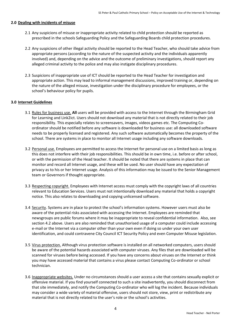#### **2.0 Dealing with incidents of misuse**

- 2.1 Any suspicions of misuse or inappropriate activity related to child protection should be reported as prescribed in the schools Safeguarding Policy and the Safeguarding Boards child protection procedures.
- 2.2 Any suspicions of other illegal activity should be reported to the Head Teacher, who should take advice from appropriate persons (according to the nature of the suspected activity and the individuals apparently involved) and, depending on the advice and the outcome of preliminary investigations, should report any alleged criminal activity to the police and may also instigate disciplinary procedures.
- 2.3 Suspicions of inappropriate use of ICT should be reported to the Head Teacher for investigation and appropriate action. This may lead to informal management discussions, improved training or, depending on the nature of the alleged misuse, investigation under the disciplinary procedure for employees, or the school's behaviour policy for pupils.

#### **3.0 Internet Guidelines**

- 3.1 Rules for business use. **All** users will be provided with access to the Internet through the Birmingham Grid for Learning and Link2ict. Users should not download any material that is not directly related to their job responsibility. This especially relates to screensavers, images, videos games etc. The Computing Coordinator should be notified before any software is downloaded for business use: all downloaded software needs to be properly licensed and registered. Any such software automatically becomes the property of the school. There are systems in place to monitor all Internet usage including any software downloads.
- 3.2 Personal use. Employees are permitted to access the Internet for personal use on a limited basis as long as this does not interfere with their job responsibilities. This should be in own time, i.e. before or after school, or with the permission of the Head teacher. It should be noted that there are systems in place that can monitor and record all Internet usage, and these will be used. No user should have any expectation of privacy as to his or her Internet usage. Analysis of this information may be issued to the Senior Management team or Governors if thought appropriate.
- 3.3 Respecting copyright. Employees with Internet access must comply with the copyright laws of all countries relevant to Education Services. Users must not intentionally download any material that holds a copyright notice. This also relates to downloading and copying unlicensed software.
- 3.4 Security. Systems are in place to protect the school's information systems. However users must also be aware of the potential risks associated with accessing the Internet. Employees are reminded that newsgroups are public forums where it may be inappropriate to reveal confidential information. Also, see section 4.2 above. Users are also reminded that unauthorised usage of a computer could include accessing e-mail or the Internet via a computer other than your own even if doing so under your own user identification, and could contravene City Council ICT Security Policy and even Computer Misuse legislation.
- 3.5 Virus protection. Although virus protection software is installed on all networked computers, users should be aware of the potential hazards associated with computer viruses. Any files that are downloaded will be scanned for viruses before being accessed. If you have any concerns about viruses on the Internet or think you may have accessed material that contains a virus please contact Computing Co-ordinator or school technician.
- 3.6 Inappropriate websites. Under no circumstances should a user access a site that contains sexually explicit or offensive material. If you find yourself connected to such a site inadvertently, you should disconnect from that site immediately, and notify the Computing Co-ordinator who will log the incident. Because individuals may consider a wide variety of material offensive, users should not store, view, print or redistribute any material that is not directly related to the user's role or the school's activities.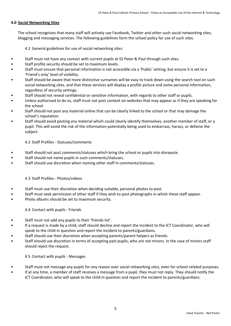#### **4.0 Social Networking Sites**

The school recognises that many staff will actively use Facebook, Twitter and other such social networking sites, blogging and messaging services. The following guidelines form the school policy for use of such sites.

4.1 General guidelines for use of social networking sites:

- Staff must not have any contact with current pupils at SS Peter & Paul through such sites.
- Staff profile security should be set to maximum levels.
- Staff must ensure that personal information is not accessible via a 'Public' setting, but ensure it is set to a 'Friend's only' level of visibility.
- Staff should be aware that more distinctive surnames will be easy to track down using the search tool on such social networking sites, and that these services will display a profile picture and some personal information, regardless of security settings.
- Staff should not reveal confidential or sensitive information, with regards to other staff or pupils.
- Unless authorised to do so, staff must not post content on websites that may appear as if they are speaking for the school.
- Staff should not post any material online that can be clearly linked to the school or that may damage the school's reputation.
- Staff should avoid posting any material which could clearly identify themselves, another member of staff, or a pupil. This will avoid the risk of the information potentially being used to embarrass, harass, or defame the subject.

#### 4.2 Staff Profiles - Statuses/comments

- Staff should not post comments/statuses which bring the school or pupils into disrepute.
- Staff should not name pupils in such comments/statuses.
- Staff should use discretion when naming other staff in comments/statuses.

#### 4.3 Staff Profiles - Photos/videos

- Staff must use their discretion when deciding suitable, personal photos to post.
- Staff must seek permission of other staff if they wish to post photographs in which these staff appear.
- Photo albums should be set to maximum security.

4.4 Contact with pupils - Friends

- Staff must not add any pupils to their 'friends list'.
- If a request is made by a child, staff should decline and report the incident to the ICT Coordinator, who will speak to the child in question and report the incident to parents/guardians.
- Staff should use their discretion when accepting parents/parent helpers as friends.
- Staff should use discretion in terms of accepting past pupils, who are not minors. In the case of minors staff should reject the request.

#### 4.5 Contact with pupils - Messages

- Staff must not message any pupils for any reason over social networking sites, even for school-related purposes.
- If at any time, a member of staff receives a message from a pupil, they must not reply. They should notify the ICT Coordinator, who will speak to the child in question and report the incident to parents/guardians.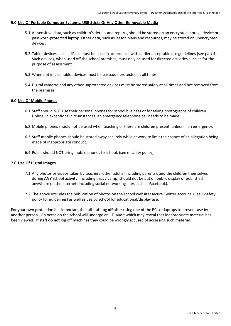#### **5.0 Use Of Portable Computer Systems, USB Sticks Or Any Other Removable Media**

- 5.1 All sensitive data, such as children's details and reports, should be stored on an encrypted storage device or password-protected laptop. Other data, such as lesson plans and resources, may be stored on unencrypted devices.
- 5.2 Tablet devices such as iPads must be used in accordance with earlier acceptable use guidelines (see part 4). Such devices, when used off the school premises, must only be used for directed activities such as for the purpose of assessment.
- 5.3 When not in use, tablet devices must be passcode protected at all times.
- 5.4 Digital cameras and any other unprotected devices must be stored safely at all times and not removed from the premises.

#### **6.0 Use Of Mobile Phones**

- 6.1 Staff should NOT use their personal phones for school business or for taking photographs of children. Unless, in exceptional circumstances, an emergency telephone call needs to be made.
- 6.2 Mobile phones should not be used when teaching or there are children present, unless in an emergency.
- 6.3 Staff mobile phones should be stored away securely while at work to limit the chance of an allegation being made of inappropriate conduct.
- 6.4 Pupils should NOT bring mobile phones to school. (see e-safety policy)

#### **7.0 Use Of Digital Images**

- 7.1 Any photos or videos taken by teachers, other adults (including parents), and the children themselves during **ANY** school activity (including trips / camp) should not be put on public display or published anywhere on the internet (including social networking sites such as Facebook).
- 7.2 The above excludes the publication of photos on the school website/secure Twitter account. (See E-safety policy for guidelines) as well as use by school for educational/display use.

For your own protection it is important that all staff **log off** after using one of the PCs or laptops to prevent use by another person. On occasion the school will undergo an I.T. audit which may reveal that inappropriate material has been viewed. If staff **do not** log off machines they could be wrongly accused of accessing such material.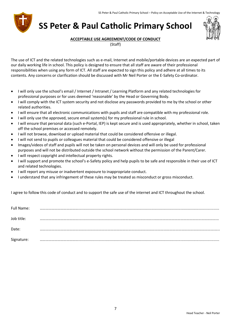

## **SS Peter & Paul Catholic Primary School**



#### **ACCEPTABLE USE AGREEMENT/CODE OF CONDUCT**

(Staff)

The use of ICT and the related technologies such as e-mail, Internet and mobile/portable devices are an expected part of our daily working life in school. This policy is designed to ensure that all staff are aware of their professional responsibilities when using any form of ICT. All staff are expected to sign this policy and adhere at all times to its contents. Any concerns or clarification should be discussed with Mr Neil Porter or the E-Safety Co-ordinator.

- I will only use the school's email / Internet / Intranet / Learning Platform and any related technologies for professional purposes or for uses deemed 'reasonable' by the Head or Governing Body.
- I will comply with the ICT system security and not disclose any passwords provided to me by the school or other related authorities.
- I will ensure that all electronic communications with pupils and staff are compatible with my professional role.
- I will only use the approved, secure email system(s) for my professional rule in school.
- I will ensure that personal data (such e-Portal, IEP) is kept secure and is used appropriately, whether in school, taken off the school premises or accessed remotely.
- I will not browse, download or upload material that could be considered offensive or illegal.
- I will not send to pupils or colleagues material that could be considered offensive or illegal
- Images/videos of staff and pupils will not be taken on personal devices and will only be used for professional purposes and will not be distributed outside the school network without the permission of the Parent/Carer.
- I will respect copyright and intellectual property rights.
- I will support and promote the school's e-Safety policy and help pupils to be safe and responsible in their use of ICT and related technologies.
- I will report any misuse or inadvertent exposure to inappropriate conduct.
- I understand that any infringement of these rules may be treated as misconduct or gross misconduct.

I agree to follow this code of conduct and to support the safe use of the internet and ICT throughout the school.

| Full Name: |  |
|------------|--|
| Job title: |  |
| Date:      |  |
| Signature: |  |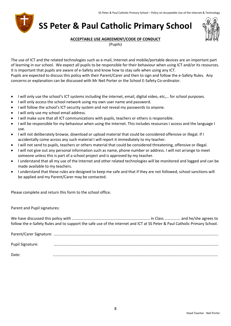

## **SS Peter & Paul Catholic Primary School**



**ACCEPTABLE USE AGREEMENT/CODE OF CONDUCT**

(Pupils)

The use of ICT and the related technologies such as e-mail, Internet and mobile/portable devices are an important part of learning in our school. We expect all pupils to be responsible for their behaviour when using ICT and/or its resources. It is important that pupils are aware of e-Safety and know how to stay safe when using any ICT. Pupils are expected to discuss this policy with their Parent/Carer and then to sign and follow the e-Safety Rules. Any concerns or explanation can be discussed with Mr Neil Porter or the School E-Safety Co-ordinator.

- I will only use the school's ICT systems including the internet, email, digital video, etc,… for school purposes.
- I will only access the school network using my own user name and password.
- I will follow the school's ICT security system and not reveal my passwords to anyone.
- I will only use my school email address.
- I will make sure that all ICT communications with pupils, teachers or others is responsible.
- I will be responsible for my behaviour when using the Internet. This includes resources I access and the language I use.
- I will not deliberately browse, download or upload material that could be considered offensive or illegal. If I accidentally come across any such material I will report it immediately to my teacher.
- I will not send to pupils, teachers or others material that could be considered threatening, offensive or illegal.
- I will not give out any personal information such as name, phone number or address. I will not arrange to meet someone unless this is part of a school project and is approved by my teacher.
- I understand that all my use of the Internet and other related technologies will be monitored and logged and can be made available to my teachers.
- I understand that these rules are designed to keep me safe and that if they are not followed, school sanctions will be applied and my Parent/Carer may be contacted.

Please complete and return this form to the school office.

Parent and Pupil signatures:

|                         | follow the e-Safety Rules and to support the safe use of the internet and ICT at SS Peter & Paul Catholic Primary School. |  |
|-------------------------|---------------------------------------------------------------------------------------------------------------------------|--|
|                         |                                                                                                                           |  |
| <b>Pupil Signature:</b> |                                                                                                                           |  |
| Date:                   |                                                                                                                           |  |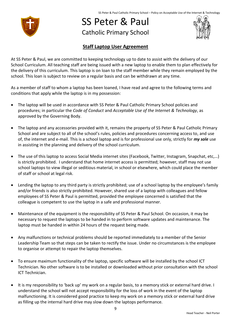SS Peter & Paul Catholic Primary School – Policy on Acceptable Use of the Internet & Technology



## SS Peter & Paul Catholic Primary School



#### **Staff Laptop User Agreement**

At SS Peter & Paul, we are committed to keeping technology up to date to assist with the delivery of our School Curriculum. All teaching staff are being issued with a new laptop to enable them to plan effectively for the delivery of this curriculum. This laptop is on loan to the staff member while they remain employed by the school. This loan is subject to review on a regular basis and can be withdrawn at any time.

As a member of staff to whom a laptop has been loaned, I have read and agree to the following terms and conditions that apply while the laptop is in my possession:

- The laptop will be used in accordance with SS Peter & Paul Catholic Primary School policies and procedures; in particular the *Code of Conduct* and *Acceptable Use of the Internet & Technology*, as approved by the Governing Body.
- The laptop and any accessories provided with it, remains the property of SS Peter & Paul Catholic Primary School and are subject to all of the school's rules, policies and procedures concerning access to, and use of, the internet and e-mail. This is a school laptop and is for professional use only, strictly for *my sole* use in assisting in the planning and delivery of the school curriculum.
- The use of this laptop to access Social Media internet sites (Facebook, Twitter, Instagram, Snapchat, etc,…) is strictly prohibited. I understand that home internet access is permitted; however, staff may not use school laptops to view illegal or seditious material, in school or elsewhere, which could place the member of staff or school at legal risk.
- Lending the laptop to any third party is strictly prohibited; use of a school laptop by the employee's family and/or friends is also strictly prohibited. However, shared use of a laptop with colleagues and fellow employees of SS Peter & Paul is permitted, provided the employee concerned is satisfied that the colleague is competent to use the laptop in a safe and professional manner.
- Maintenance of the equipment is the responsibility of SS Peter & Paul School. On occasion, it may be necessary to request the laptops to be handed in to perform software updates and maintenance. The laptop must be handed in within 24 hours of the request being made.
- Any malfunctions or technical problems should be reported immediately to a member of the Senior Leadership Team so that steps can be taken to rectify the issue. Under no circumstances is the employee to organise or attempt to repair the laptop themselves.
- To ensure maximum functionality of the laptop, specific software will be installed by the school ICT Technician. No other software is to be installed or downloaded without prior consultation with the school ICT Technician.
- It is my responsibility to 'back up' my work on a regular basis, to a memory stick or external hard drive. I understand the school will not accept responsibility for the loss of work in the event of the laptop malfunctioning. It is considered good practice to keep my work on a memory stick or external hard drive as filling up the internal hard drive may slow down the laptops performance.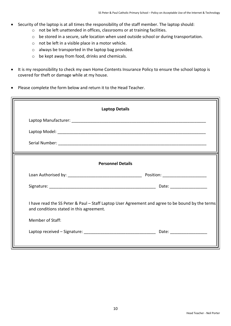- Security of the laptop is at all times the responsibility of the staff member. The laptop should:
	- o not be left unattended in offices, classrooms or at training facilities.
	- o be stored in a secure, safe location when used outside school or during transportation.
	- o not be left in a visible place in a motor vehicle.
	- o always be transported in the laptop bag provided.
	- o be kept away from food, drinks and chemicals.
- It is my responsibility to check my own Home Contents Insurance Policy to ensure the school laptop is covered for theft or damage while at my house.
- Please complete the form below and return it to the Head Teacher.

| <b>Laptop Details</b>                                                                                                                        |  |  |  |
|----------------------------------------------------------------------------------------------------------------------------------------------|--|--|--|
|                                                                                                                                              |  |  |  |
|                                                                                                                                              |  |  |  |
|                                                                                                                                              |  |  |  |
| <b>Personnel Details</b>                                                                                                                     |  |  |  |
|                                                                                                                                              |  |  |  |
|                                                                                                                                              |  |  |  |
| I have read the SS Peter & Paul - Staff Laptop User Agreement and agree to be bound by the terms<br>and conditions stated in this agreement. |  |  |  |
| <b>Member of Staff:</b>                                                                                                                      |  |  |  |
|                                                                                                                                              |  |  |  |
|                                                                                                                                              |  |  |  |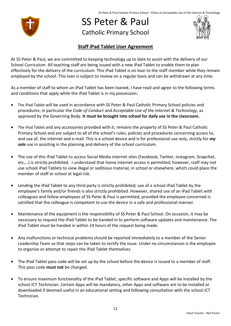

## SS Peter & Paul Catholic Primary School



#### **Staff iPad Tablet User Agreement**

At SS Peter & Paul, we are committed to keeping technology up to date to assist with the delivery of our School Curriculum. All teaching staff are being issued with a new iPad Tablet to enable them to plan effectively for the delivery of the curriculum. This iPad Tablet is on loan to the staff member while they remain employed by the school. This loan is subject to review on a regular basis and can be withdrawn at any time.

As a member of staff to whom an iPad Tablet has been loaned, I have read and agree to the following terms and conditions that apply while the iPad Tablet is in my possession:

- The iPad Tablet will be used in accordance with SS Peter & Paul Catholic Primary School policies and procedures; in particular the *Code of Conduct* and *Acceptable Use of the Internet & Technology*, as approved by the Governing Body. **It must be brought into school for daily use in the classroom.**
- The iPad Tablet and any accessories provided with it, remains the property of SS Peter & Paul Catholic Primary School and are subject to all of the school's rules, policies and procedures concerning access to, and use of, the internet and e-mail. This is a school device and is for professional use only, strictly for *my sole* use in assisting in the planning and delivery of the school curriculum.
- The use of this iPad Tablet to access Social Media internet sites (Facebook, Twitter, Instagram, Snapchat, etc,…) is strictly prohibited. I understand that home internet access is permitted; however, staff may not use school iPad Tablets to view illegal or seditious material, in school or elsewhere, which could place the member of staff or school at legal risk.
- Lending the iPad Tablet to any third party is strictly prohibited; use of a school iPad Tablet by the employee's family and/or friends is also strictly prohibited. However, shared use of an iPad Tablet with colleagues and fellow employees of SS Peter & Paul is permitted, provided the employee concerned is satisfied that the colleague is competent to use the device in a safe and professional manner.
- Maintenance of the equipment is the responsibility of SS Peter & Paul School. On occasion, it may be necessary to request the iPad Tablet to be handed in to perform software updates and maintenance. The iPad Tablet must be handed in within 24 hours of the request being made.
- Any malfunctions or technical problems should be reported immediately to a member of the Senior Leadership Team so that steps can be taken to rectify the issue. Under no circumstances is the employee to organise or attempt to repair the iPad Tablet themselves.
- The iPad Tablet pass code will be set up by the school before the device is issued to a member of staff. This pass code **must not** be changed.
- To ensure maximum functionality of the iPad Tablet, specific software and Apps will be installed by the school ICT Technician. Certain Apps will be mandatory, other Apps and software are to be installed or downloaded if deemed useful in an educational setting and following consultation with the school ICT Technician.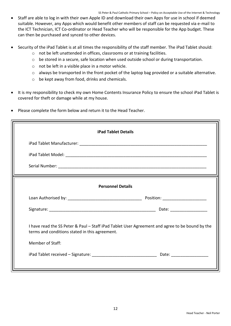- Staff are able to log in with their own Apple ID and download their own Apps for use in school if deemed suitable. However, any Apps which would benefit other members of staff can be requested via e-mail to the ICT Technician, ICT Co-ordinator or Head Teacher who will be responsible for the App budget. These can then be purchased and synced to other devices.
- Security of the iPad Tablet is at all times the responsibility of the staff member. The iPad Tablet should:
	- o not be left unattended in offices, classrooms or at training facilities.
	- o be stored in a secure, safe location when used outside school or during transportation.
	- o not be left in a visible place in a motor vehicle.
	- o always be transported in the front pocket of the laptop bag provided or a suitable alternative.
	- o be kept away from food, drinks and chemicals.
- It is my responsibility to check my own Home Contents Insurance Policy to ensure the school iPad Tablet is covered for theft or damage while at my house.
- Please complete the form below and return it to the Head Teacher.

| <b>iPad Tablet Details</b>                                                                                                                                                   |  |  |  |
|------------------------------------------------------------------------------------------------------------------------------------------------------------------------------|--|--|--|
|                                                                                                                                                                              |  |  |  |
|                                                                                                                                                                              |  |  |  |
|                                                                                                                                                                              |  |  |  |
| <b>Personnel Details</b>                                                                                                                                                     |  |  |  |
|                                                                                                                                                                              |  |  |  |
|                                                                                                                                                                              |  |  |  |
| I have read the SS Peter & Paul – Staff iPad Tablet User Agreement and agree to be bound by the<br>terms and conditions stated in this agreement.<br><b>Member of Staff:</b> |  |  |  |
|                                                                                                                                                                              |  |  |  |